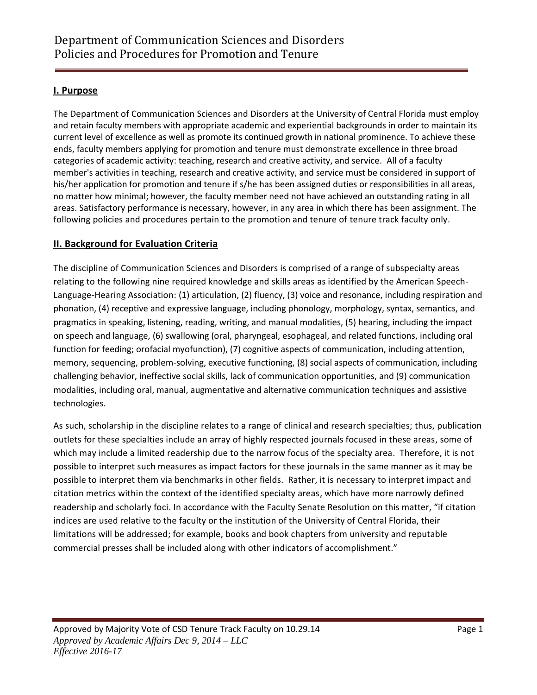# **I. Purpose**

The Department of Communication Sciences and Disorders at the University of Central Florida must employ and retain faculty members with appropriate academic and experiential backgrounds in order to maintain its current level of excellence as well as promote its continued growth in national prominence. To achieve these ends, faculty members applying for promotion and tenure must demonstrate excellence in three broad categories of academic activity: teaching, research and creative activity, and service. All of a faculty member's activities in teaching, research and creative activity, and service must be considered in support of his/her application for promotion and tenure if s/he has been assigned duties or responsibilities in all areas, no matter how minimal; however, the faculty member need not have achieved an outstanding rating in all areas. Satisfactory performance is necessary, however, in any area in which there has been assignment. The following policies and procedures pertain to the promotion and tenure of tenure track faculty only.

# **II. Background for Evaluation Criteria**

The discipline of Communication Sciences and Disorders is comprised of a range of subspecialty areas relating to the following nine required knowledge and skills areas as identified by the American Speech-Language-Hearing Association: (1) articulation, (2) fluency, (3) voice and resonance, including respiration and phonation, (4) receptive and expressive language, including phonology, morphology, syntax, semantics, and pragmatics in speaking, listening, reading, writing, and manual modalities, (5) hearing, including the impact on speech and language, (6) swallowing (oral, pharyngeal, esophageal, and related functions, including oral function for feeding; orofacial myofunction), (7) cognitive aspects of communication, including attention, memory, sequencing, problem-solving, executive functioning, (8) social aspects of communication, including challenging behavior, ineffective social skills, lack of communication opportunities, and (9) communication modalities, including oral, manual, augmentative and alternative communication techniques and assistive technologies.

As such, scholarship in the discipline relates to a range of clinical and research specialties; thus, publication outlets for these specialties include an array of highly respected journals focused in these areas, some of which may include a limited readership due to the narrow focus of the specialty area. Therefore, it is not possible to interpret such measures as impact factors for these journals in the same manner as it may be possible to interpret them via benchmarks in other fields. Rather, it is necessary to interpret impact and citation metrics within the context of the identified specialty areas, which have more narrowly defined readership and scholarly foci. In accordance with the Faculty Senate Resolution on this matter, "if citation indices are used relative to the faculty or the institution of the University of Central Florida, their limitations will be addressed; for example, books and book chapters from university and reputable commercial presses shall be included along with other indicators of accomplishment."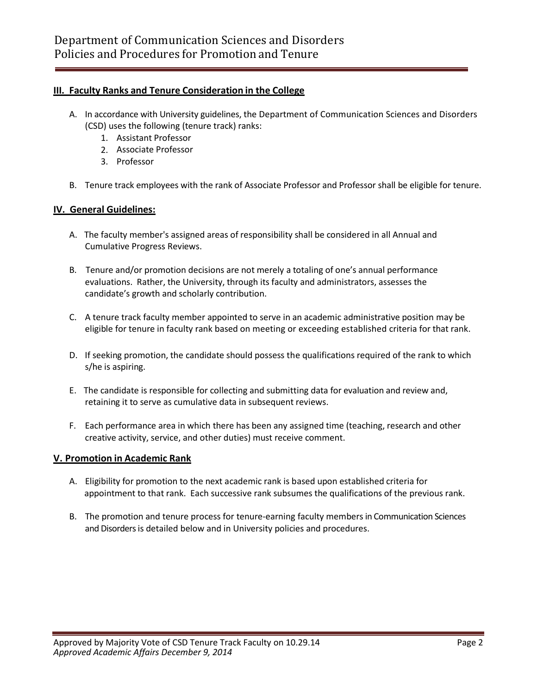## **III. Faculty Ranks and Tenure Consideration in the College**

- A. In accordance with University guidelines, the Department of Communication Sciences and Disorders (CSD) uses the following (tenure track) ranks:
	- 1. Assistant Professor
	- 2. Associate Professor
	- 3. Professor
- B. Tenure track employees with the rank of Associate Professor and Professor shall be eligible for tenure.

## **IV. General Guidelines:**

- A. The faculty member's assigned areas of responsibility shall be considered in all Annual and Cumulative Progress Reviews.
- B. Tenure and/or promotion decisions are not merely a totaling of one's annual performance evaluations. Rather, the University, through its faculty and administrators, assesses the candidate's growth and scholarly contribution.
- C. A tenure track faculty member appointed to serve in an academic administrative position may be eligible for tenure in faculty rank based on meeting or exceeding established criteria for that rank.
- D. If seeking promotion, the candidate should possess the qualifications required of the rank to which s/he is aspiring.
- E. The candidate is responsible for collecting and submitting data for evaluation and review and, retaining it to serve as cumulative data in subsequent reviews.
- F. Each performance area in which there has been any assigned time (teaching, research and other creative activity, service, and other duties) must receive comment.

### **V. Promotion in Academic Rank**

- A. Eligibility for promotion to the next academic rank is based upon established criteria for appointment to that rank. Each successive rank subsumes the qualifications of the previous rank.
- B. The promotion and tenure process for tenure-earning faculty members in Communication Sciences and Disorders is detailed below and in University policies and procedures.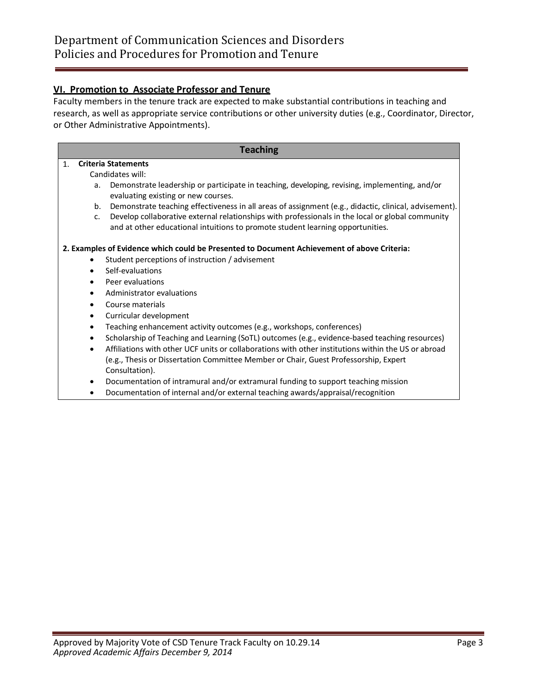## **VI. Promotion to Associate Professor and Tenure**

Faculty members in the tenure track are expected to make substantial contributions in teaching and research, as well as appropriate service contributions or other university duties (e.g., Coordinator, Director, or Other Administrative Appointments).

**Teaching**

## 1. **Criteria Statements**

Candidates will:

- a. Demonstrate leadership or participate in teaching, developing, revising, implementing, and/or evaluating existing or new courses.
- b. Demonstrate teaching effectiveness in all areas of assignment (e.g., didactic, clinical, advisement).
- c. Develop collaborative external relationships with professionals in the local or global community and at other educational intuitions to promote student learning opportunities.

#### **2. Examples of Evidence which could be Presented to Document Achievement of above Criteria:**

- Student perceptions of instruction / advisement
- Self-evaluations
- Peer evaluations
- Administrator evaluations
- Course materials
- Curricular development
- Teaching enhancement activity outcomes (e.g., workshops, conferences)
- Scholarship of Teaching and Learning (SoTL) outcomes (e.g., evidence-based teaching resources)
- Affiliations with other UCF units or collaborations with other institutions within the US or abroad (e.g., Thesis or Dissertation Committee Member or Chair, Guest Professorship, Expert Consultation).
- Documentation of intramural and/or extramural funding to support teaching mission
- Documentation of internal and/or external teaching awards/appraisal/recognition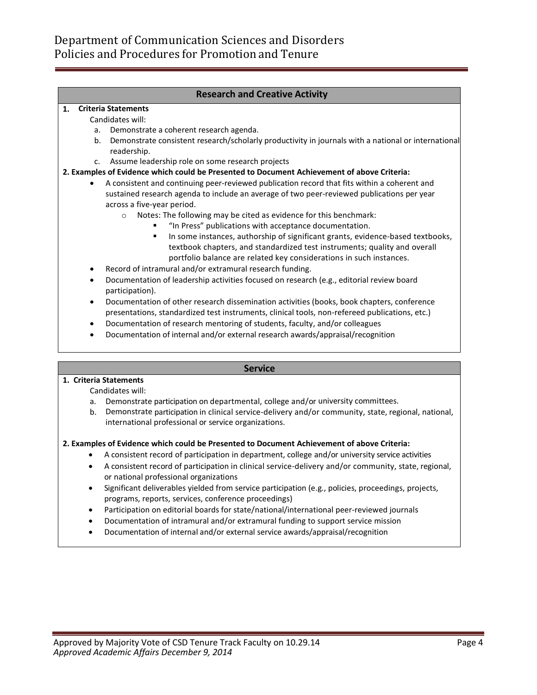## **Research and Creative Activity**

#### **1. Criteria Statements**

Candidates will:

- a. Demonstrate a coherent research agenda.
- b. Demonstrate consistent research/scholarly productivity in journals with a national or international readership.
- c. Assume leadership role on some research projects

#### **2. Examples of Evidence which could be Presented to Document Achievement of above Criteria:**

- A consistent and continuing peer-reviewed publication record that fits within a coherent and sustained research agenda to include an average of two peer-reviewed publications per year across a five-year period.
	- o Notes: The following may be cited as evidence for this benchmark:
		- **"** "In Press" publications with acceptance documentation.
		- In some instances, authorship of significant grants, evidence-based textbooks, textbook chapters, and standardized test instruments; quality and overall portfolio balance are related key considerations in such instances.
- Record of intramural and/or extramural research funding.
- Documentation of leadership activities focused on research (e.g., editorial review board participation).
- Documentation of other research dissemination activities (books, book chapters, conference presentations, standardized test instruments, clinical tools, non-refereed publications, etc.)
- Documentation of research mentoring of students, faculty, and/or colleagues
- Documentation of internal and/or external research awards/appraisal/recognition

#### **Service**

#### **1. Criteria Statements**

Candidates will:

- a. Demonstrate participation on departmental, college and/or university committees.
- b. Demonstrate participation in clinical service-delivery and/or community, state, regional, national, international professional or service organizations.

#### **2. Examples of Evidence which could be Presented to Document Achievement of above Criteria:**

- A consistent record of participation in department, college and/or university service activities
- A consistent record of participation in clinical service-delivery and/or community, state, regional, or national professional organizations
- Significant deliverables yielded from service participation (e.g., policies, proceedings, projects, programs, reports, services, conference proceedings)
- Participation on editorial boards for state/national/international peer-reviewed journals
- Documentation of intramural and/or extramural funding to support service mission
- Documentation of internal and/or external service awards/appraisal/recognition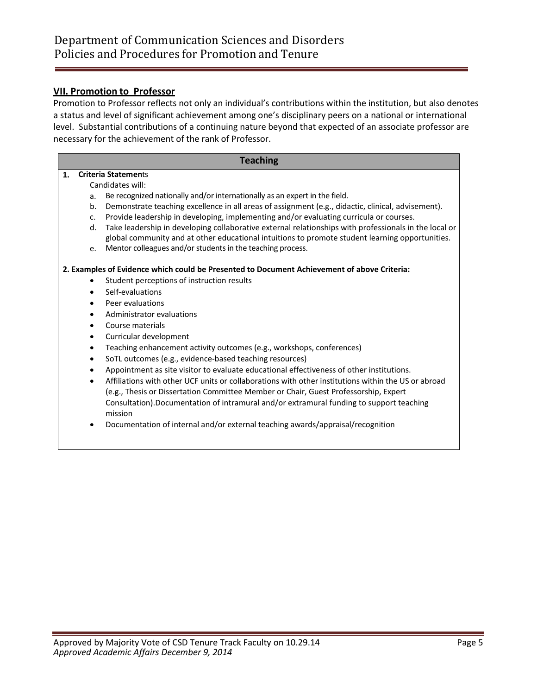## **VII. Promotion to Professor**

Promotion to Professor reflects not only an individual's contributions within the institution, but also denotes a status and level of significant achievement among one's disciplinary peers on a national or international level. Substantial contributions of a continuing nature beyond that expected of an associate professor are necessary for the achievement of the rank of Professor.

| <b>Teaching</b>                                                                             |                |                                                                                                                                                                                                          |
|---------------------------------------------------------------------------------------------|----------------|----------------------------------------------------------------------------------------------------------------------------------------------------------------------------------------------------------|
| 1.                                                                                          |                | <b>Criteria Statements</b>                                                                                                                                                                               |
|                                                                                             |                | Candidates will:                                                                                                                                                                                         |
|                                                                                             | a.             | Be recognized nationally and/or internationally as an expert in the field.                                                                                                                               |
|                                                                                             | b <sub>1</sub> | Demonstrate teaching excellence in all areas of assignment (e.g., didactic, clinical, advisement).                                                                                                       |
|                                                                                             | $C_{\bullet}$  | Provide leadership in developing, implementing and/or evaluating curricula or courses.                                                                                                                   |
|                                                                                             | $d_{\cdot}$    | Take leadership in developing collaborative external relationships with professionals in the local or<br>global community and at other educational intuitions to promote student learning opportunities. |
|                                                                                             | e.             | Mentor colleagues and/or students in the teaching process.                                                                                                                                               |
| 2. Examples of Evidence which could be Presented to Document Achievement of above Criteria: |                |                                                                                                                                                                                                          |
|                                                                                             | $\bullet$      | Student perceptions of instruction results                                                                                                                                                               |
|                                                                                             | $\bullet$      | Self-evaluations                                                                                                                                                                                         |
|                                                                                             | $\bullet$      | Peer evaluations                                                                                                                                                                                         |
|                                                                                             | $\bullet$      | Administrator evaluations                                                                                                                                                                                |
|                                                                                             |                | Course materials                                                                                                                                                                                         |
|                                                                                             |                | Curricular development                                                                                                                                                                                   |
|                                                                                             | $\bullet$      | Teaching enhancement activity outcomes (e.g., workshops, conferences)                                                                                                                                    |
|                                                                                             | $\bullet$      | SoTL outcomes (e.g., evidence-based teaching resources)                                                                                                                                                  |
|                                                                                             |                | Appointment as site visitor to evaluate educational effectiveness of other institutions.                                                                                                                 |
|                                                                                             | $\bullet$      | Affiliations with other UCF units or collaborations with other institutions within the US or abroad                                                                                                      |
|                                                                                             |                | (e.g., Thesis or Dissertation Committee Member or Chair, Guest Professorship, Expert                                                                                                                     |
|                                                                                             |                | Consultation). Documentation of intramural and/or extramural funding to support teaching<br>mission                                                                                                      |

Documentation of internal and/or external teaching awards/appraisal/recognition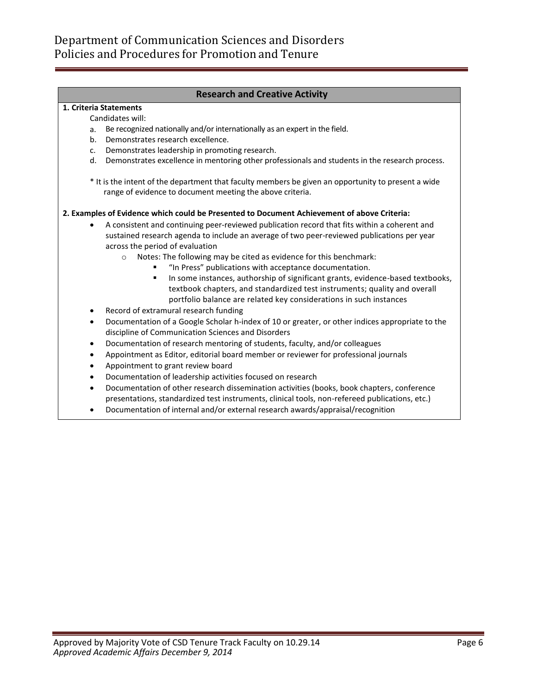## **Research and Creative Activity**

#### **1. Criteria Statements**

Candidates will:

- a. Be recognized nationally and/or internationally as an expert in the field.
- b. Demonstrates research excellence.
- c. Demonstrates leadership in promoting research.
- d. Demonstrates excellence in mentoring other professionals and students in the research process.

\* It is the intent of the department that faculty members be given an opportunity to present a wide range of evidence to document meeting the above criteria.

#### **2. Examples of Evidence which could be Presented to Document Achievement of above Criteria:**

- A consistent and continuing peer-reviewed publication record that fits within a coherent and sustained research agenda to include an average of two peer-reviewed publications per year across the period of evaluation
	- o Notes: The following may be cited as evidence for this benchmark:
		- "In Press" publications with acceptance documentation.
		- **In some instances, authorship of significant grants, evidence-based textbooks,** textbook chapters, and standardized test instruments; quality and overall portfolio balance are related key considerations in such instances
- Record of extramural research funding
- Documentation of a Google Scholar h-index of 10 or greater, or other indices appropriate to the discipline of Communication Sciences and Disorders
- Documentation of research mentoring of students, faculty, and/or colleagues
- Appointment as Editor, editorial board member or reviewer for professional journals
- Appointment to grant review board
- Documentation of leadership activities focused on research
- Documentation of other research dissemination activities (books, book chapters, conference presentations, standardized test instruments, clinical tools, non-refereed publications, etc.)
- Documentation of internal and/or external research awards/appraisal/recognition